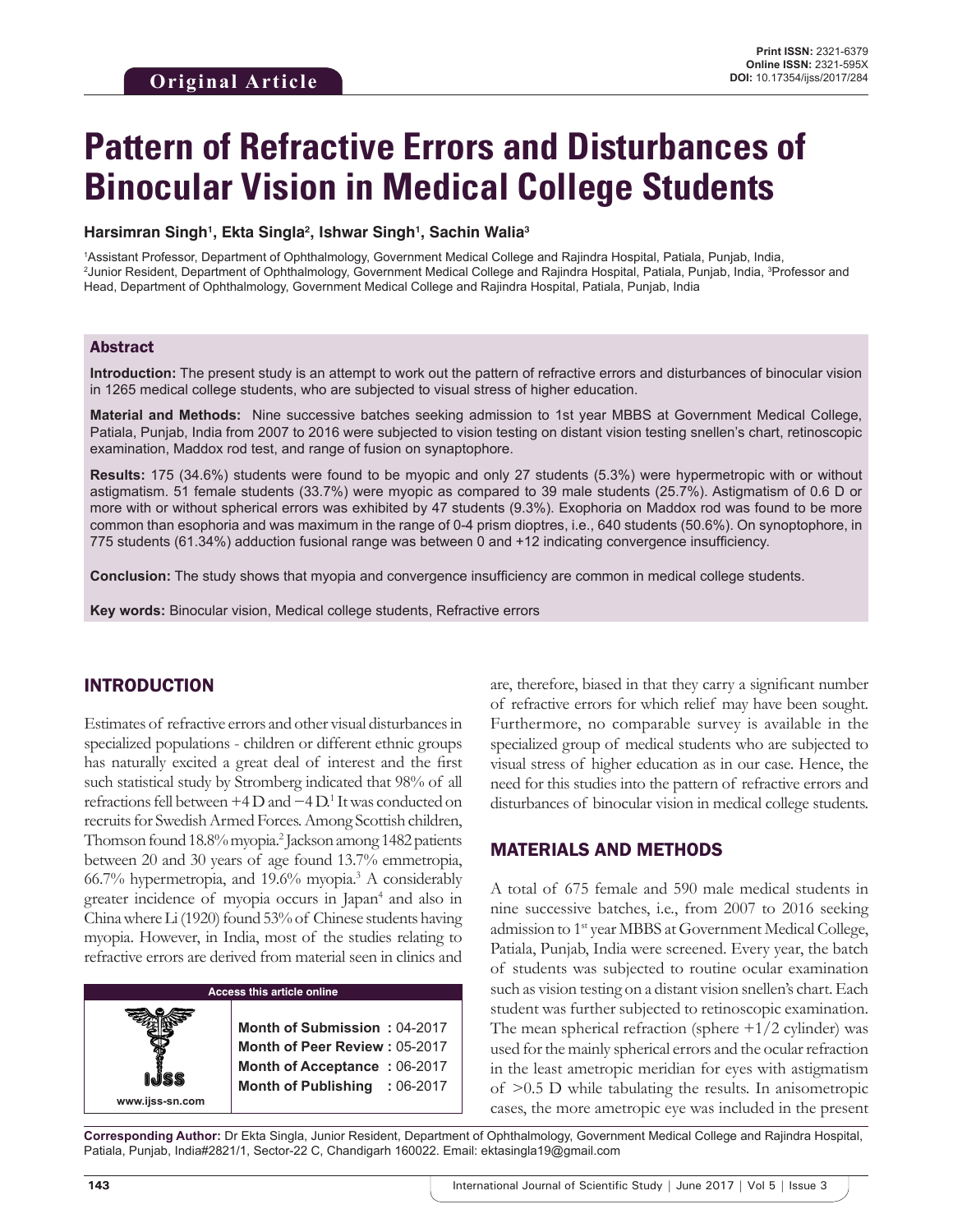# **Pattern of Refractive Errors and Disturbances of Binocular Vision in Medical College Students**

#### **Harsimran Singh1 , Ekta Singla2 , Ishwar Singh1 , Sachin Walia3**

1 Assistant Professor, Department of Ophthalmology, Government Medical College and Rajindra Hospital, Patiala, Punjab, India, <sup>2</sup>Junior Resident, Department of Ophthalmology, Government Medical College and Rajindra Hospital, Patiala, Punjab, India, <sup>3</sup>Professor and Head, Department of Ophthalmology, Government Medical College and Rajindra Hospital, Patiala, Punjab, India

#### Abstract

**Introduction:** The present study is an attempt to work out the pattern of refractive errors and disturbances of binocular vision in 1265 medical college students, who are subjected to visual stress of higher education.

**Material and Methods:** Nine successive batches seeking admission to 1st year MBBS at Government Medical College, Patiala, Punjab, India from 2007 to 2016 were subjected to vision testing on distant vision testing snellen's chart, retinoscopic examination, Maddox rod test, and range of fusion on synaptophore.

**Results:** 175 (34.6%) students were found to be myopic and only 27 students (5.3%) were hypermetropic with or without astigmatism. 51 female students (33.7%) were myopic as compared to 39 male students (25.7%). Astigmatism of 0.6 D or more with or without spherical errors was exhibited by 47 students (9.3%). Exophoria on Maddox rod was found to be more common than esophoria and was maximum in the range of 0-4 prism dioptres, i.e., 640 students (50.6%). On synoptophore, in 775 students (61.34%) adduction fusional range was between 0 and +12 indicating convergence insufficiency.

**Conclusion:** The study shows that myopia and convergence insufficiency are common in medical college students.

**Key words:** Binocular vision, Medical college students, Refractive errors

## INTRODUCTION

Estimates of refractive errors and other visual disturbances in specialized populations - children or different ethnic groups has naturally excited a great deal of interest and the first such statistical study by Stromberg indicated that 98% of all refractions fell between +4 D and −4 D.<sup>1</sup> It was conducted on recruits for Swedish Armed Forces. Among Scottish children, Thomson found 18.8% myopia.2 Jackson among 1482 patients between 20 and 30 years of age found 13.7% emmetropia, 66.7% hypermetropia, and 19.6% myopia.3 A considerably greater incidence of myopia occurs in Japan<sup>4</sup> and also in China where Li (1920) found 53% of Chinese students having myopia. However, in India, most of the studies relating to refractive errors are derived from material seen in clinics and



**www.ijss-sn.com**

are, therefore, biased in that they carry a significant number of refractive errors for which relief may have been sought. Furthermore, no comparable survey is available in the specialized group of medical students who are subjected to visual stress of higher education as in our case. Hence, the need for this studies into the pattern of refractive errors and disturbances of binocular vision in medical college students.

#### MATERIALS AND METHODS

A total of 675 female and 590 male medical students in nine successive batches, i.e., from 2007 to 2016 seeking admission to 1st year MBBS at Government Medical College, Patiala, Punjab, India were screened. Every year, the batch of students was subjected to routine ocular examination such as vision testing on a distant vision snellen's chart. Each student was further subjected to retinoscopic examination. The mean spherical refraction (sphere  $+1/2$  cylinder) was used for the mainly spherical errors and the ocular refraction in the least ametropic meridian for eyes with astigmatism of >0.5 D while tabulating the results. In anisometropic cases, the more ametropic eye was included in the present

**Corresponding Author:** Dr Ekta Singla, Junior Resident, Department of Ophthalmology, Government Medical College and Rajindra Hospital, Patiala, Punjab, India#2821/1, Sector-22 C, Chandigarh 160022. Email: ektasingla19@gmail.com